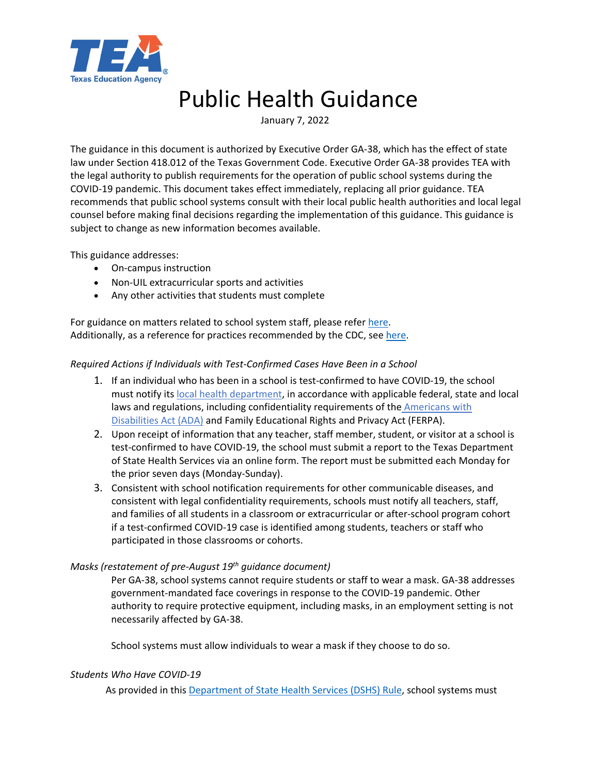

# Public Health Guidance

January 7, 2022

The guidance in this document is authorized by Executive Order GA-38, which has the effect of state law under Section 418.012 of the Texas Government Code. Executive Order GA-38 provides TEA with the legal authority to publish requirements for the operation of public school systems during the COVID-19 pandemic. This document takes effect immediately, replacing all prior guidance. TEA recommends that public school systems consult with their local public health authorities and local legal counsel before making final decisions regarding the implementation of this guidance. This guidance is subject to change as new information becomes available.

This guidance addresses:

- On-campus instruction
- Non-UIL extracurricular sports and activities
- Any other activities that students must complete

For guidance on matters related to school system staff, please refer here. Additionally, as a reference for practices recommended by the CDC, see here.

### *Required Actions if Individuals with Test-Confirmed Cases Have Been in a School*

- 1. If an individual who has been in a school is test-confirmed to have COVID-19, the school must notify its local health department, in accordance with applicable federal, state and local laws and regulations, including confidentiality requirements of the Americans with Disabilities Act (ADA) and Family Educational Rights and Privacy Act (FERPA).
- 2. Upon receipt of information that any teacher, staff member, student, or visitor at a school is test-confirmed to have COVID-19, the school must submit a report to the Texas Department of State Health Services via an online form. The report must be submitted each Monday for the prior seven days (Monday-Sunday).
- 3. Consistent with school notification requirements for other communicable diseases, and consistent with legal confidentiality requirements, schools must notify all teachers, staff, and families of all students in a classroom or extracurricular or after-school program cohort if a test-confirmed COVID-19 case is identified among students, teachers or staff who participated in those classrooms or cohorts.

## *Masks (restatement of pre-August 19th guidance document)*

Per GA-38, school systems cannot require students or staff to wear a mask. GA-38 addresses government-mandated face coverings in response to the COVID-19 pandemic. Other authority to require protective equipment, including masks, in an employment setting is not necessarily affected by GA-38.

School systems must allow individuals to wear a mask if they choose to do so.

#### *Students Who Have COVID-19*

As provided in this Department of State Health Services (DSHS) Rule, school systems must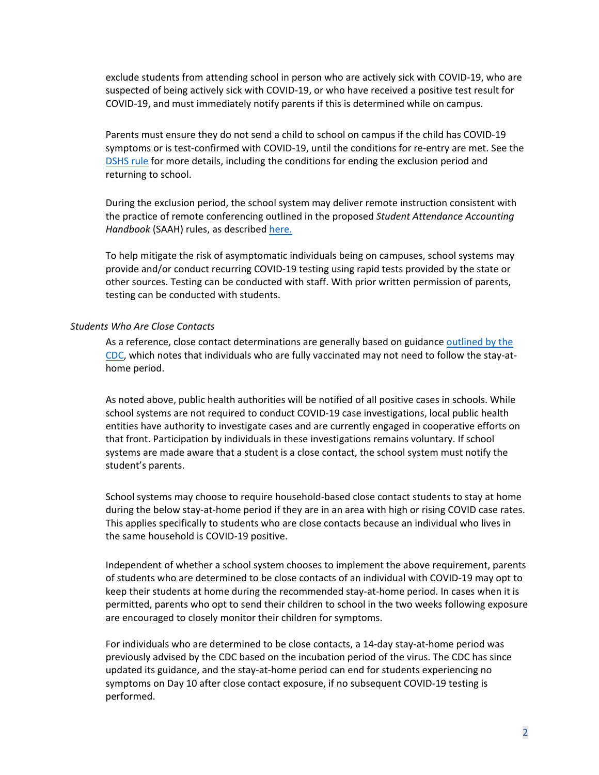exclude students from attending school in person who are actively sick with COVID-19, who are suspected of being actively sick with COVID-19, or who have received a positive test result for COVID-19, and must immediately notify parents if this is determined while on campus.

Parents must ensure they do not send a child to school on campus if the child has COVID-19 symptoms or is test-confirmed with COVID-19, until the conditions for re-entry are met. See the DSHS rule for more details, including the conditions for ending the exclusion period and returning to school.

During the exclusion period, the school system may deliver remote instruction consistent with the practice of remote conferencing outlined in the proposed *Student Attendance Accounting Handbook* (SAAH) rules, as described here.

To help mitigate the risk of asymptomatic individuals being on campuses, school systems may provide and/or conduct recurring COVID-19 testing using rapid tests provided by the state or other sources. Testing can be conducted with staff. With prior written permission of parents, testing can be conducted with students.

#### *Students Who Are Close Contacts*

As a reference, close contact determinations are generally based on guidance outlined by the CDC, which notes that individuals who are fully vaccinated may not need to follow the stay-athome period.

As noted above, public health authorities will be notified of all positive cases in schools. While school systems are not required to conduct COVID-19 case investigations, local public health entities have authority to investigate cases and are currently engaged in cooperative efforts on that front. Participation by individuals in these investigations remains voluntary. If school systems are made aware that a student is a close contact, the school system must notify the student's parents.

School systems may choose to require household-based close contact students to stay at home during the below stay-at-home period if they are in an area with high or rising COVID case rates. This applies specifically to students who are close contacts because an individual who lives in the same household is COVID-19 positive.

Independent of whether a school system chooses to implement the above requirement, parents of students who are determined to be close contacts of an individual with COVID-19 may opt to keep their students at home during the recommended stay-at-home period. In cases when it is permitted, parents who opt to send their children to school in the two weeks following exposure are encouraged to closely monitor their children for symptoms.

For individuals who are determined to be close contacts, a 14-day stay-at-home period was previously advised by the CDC based on the incubation period of the virus. The CDC has since updated its guidance, and the stay-at-home period can end for students experiencing no symptoms on Day 10 after close contact exposure, if no subsequent COVID-19 testing is performed.